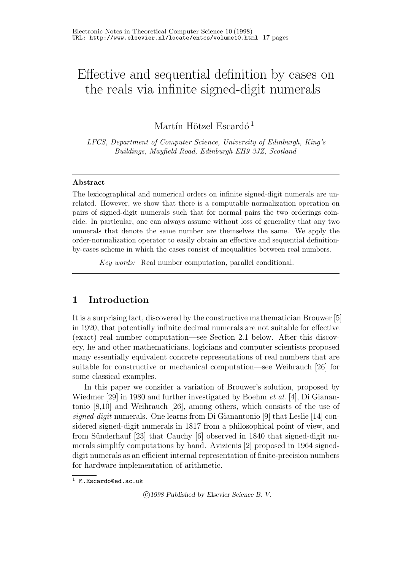# Effective and sequential definition by cases on the reals via infinite signed-digit numerals

Martín Hötzel Escardó<sup>1</sup>

LFCS, Department of Computer Science, University of Edinburgh, King's Buildings, Mayfield Road, Edinburgh EH9 3JZ, Scotland

## Abstract

The lexicographical and numerical orders on infinite signed-digit numerals are unrelated. However, we show that there is a computable normalization operation on pairs of signed-digit numerals such that for normal pairs the two orderings coincide. In particular, one can always assume without loss of generality that any two numerals that denote the same number are themselves the same. We apply the order-normalization operator to easily obtain an effective and sequential definitionby-cases scheme in which the cases consist of inequalities between real numbers.

Key words: Real number computation, parallel conditional.

# 1 Introduction

It is a surprising fact, discovered by the constructive mathematician Brouwer [5] in 1920, that potentially infinite decimal numerals are not suitable for effective (exact) real number computation—see Section 2.1 below. After this discovery, he and other mathematicians, logicians and computer scientists proposed many essentially equivalent concrete representations of real numbers that are suitable for constructive or mechanical computation—see Weihrauch [26] for some classical examples.

In this paper we consider a variation of Brouwer's solution, proposed by Wiedmer [29] in 1980 and further investigated by Boehm *et al.* [4], Di Gianantonio [8,10] and Weihrauch [26], among others, which consists of the use of signed-digit numerals. One learns from Di Gianantonio  $[9]$  that Leslie  $[14]$  considered signed-digit numerals in 1817 from a philosophical point of view, and from Sünderhauf [23] that Cauchy [6] observed in 1840 that signed-digit numerals simplify computations by hand. Avizienis [2] proposed in 1964 signeddigit numerals as an efficient internal representation of finite-precision numbers for hardware implementation of arithmetic.

 $1$  M. Escardo@ed.ac.uk

<sup>°</sup>c 1998 Published by Elsevier Science B. V.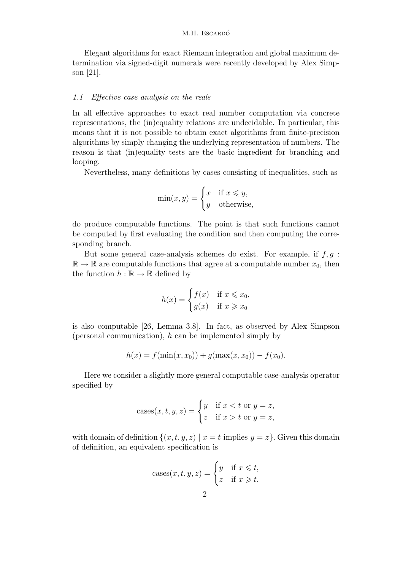Elegant algorithms for exact Riemann integration and global maximum determination via signed-digit numerals were recently developed by Alex Simpson [21].

#### 1.1 Effective case analysis on the reals

In all effective approaches to exact real number computation via concrete representations, the (in)equality relations are undecidable. In particular, this means that it is not possible to obtain exact algorithms from finite-precision algorithms by simply changing the underlying representation of numbers. The reason is that (in)equality tests are the basic ingredient for branching and looping.

Nevertheless, many definitions by cases consisting of inequalities, such as

$$
\min(x, y) = \begin{cases} x & \text{if } x \le y, \\ y & \text{otherwise,} \end{cases}
$$

do produce computable functions. The point is that such functions cannot be computed by first evaluating the condition and then computing the corresponding branch.

But some general case-analysis schemes do exist. For example, if  $f, g$ :  $\mathbb{R} \to \mathbb{R}$  are computable functions that agree at a computable number  $x_0$ , then the function  $h : \mathbb{R} \to \mathbb{R}$  defined by

$$
h(x) = \begin{cases} f(x) & \text{if } x \leq x_0, \\ g(x) & \text{if } x \geq x_0 \end{cases}
$$

is also computable [26, Lemma 3.8]. In fact, as observed by Alex Simpson (personal communication),  $h$  can be implemented simply by

$$
h(x) = f(\min(x, x_0)) + g(\max(x, x_0)) - f(x_0).
$$

Here we consider a slightly more general computable case-analysis operator specified by

cases
$$
cases(x, t, y, z) = \begin{cases} y & \text{if } x < t \text{ or } y = z, \\ z & \text{if } x > t \text{ or } y = z, \end{cases}
$$

with domain of definition  $\{(x, t, y, z) | x = t \text{ implies } y = z\}.$  Given this domain of definition, an equivalent specification is

cases
$$
cases(x, t, y, z) = \begin{cases} y & \text{if } x \leq t, \\ z & \text{if } x \geq t. \end{cases}
$$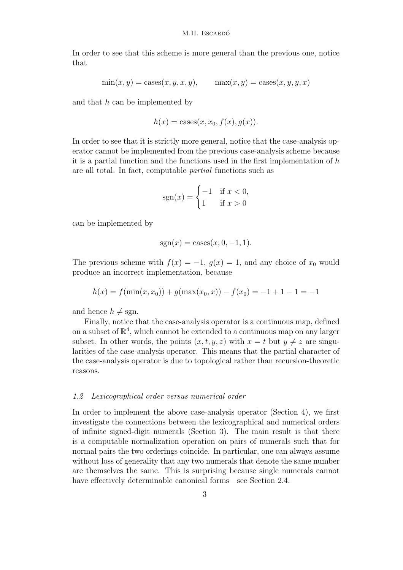In order to see that this scheme is more general than the previous one, notice that

$$
\min(x, y) = \text{cases}(x, y, x, y), \qquad \max(x, y) = \text{cases}(x, y, y, x)
$$

and that h can be implemented by

$$
h(x) = \text{cases}(x, x_0, f(x), g(x)).
$$

In order to see that it is strictly more general, notice that the case-analysis operator cannot be implemented from the previous case-analysis scheme because it is a partial function and the functions used in the first implementation of  $h$ are all total. In fact, computable partial functions such as

$$
sgn(x) = \begin{cases} -1 & \text{if } x < 0, \\ 1 & \text{if } x > 0 \end{cases}
$$

can be implemented by

$$
sgn(x) = \text{cases}(x, 0, -1, 1).
$$

The previous scheme with  $f(x) = -1$ ,  $g(x) = 1$ , and any choice of  $x_0$  would produce an incorrect implementation, because

$$
h(x) = f(\min(x, x_0)) + g(\max(x_0, x)) - f(x_0) = -1 + 1 - 1 = -1
$$

and hence  $h \neq \text{sgn}$ .

Finally, notice that the case-analysis operator is a continuous map, defined on a subset of  $\mathbb{R}^4$ , which cannot be extended to a continuous map on any larger subset. In other words, the points  $(x, t, y, z)$  with  $x = t$  but  $y \neq z$  are singularities of the case-analysis operator. This means that the partial character of the case-analysis operator is due to topological rather than recursion-theoretic reasons.

#### 1.2 Lexicographical order versus numerical order

In order to implement the above case-analysis operator (Section 4), we first investigate the connections between the lexicographical and numerical orders of infinite signed-digit numerals (Section 3). The main result is that there is a computable normalization operation on pairs of numerals such that for normal pairs the two orderings coincide. In particular, one can always assume without loss of generality that any two numerals that denote the same number are themselves the same. This is surprising because single numerals cannot have effectively determinable canonical forms—see Section 2.4.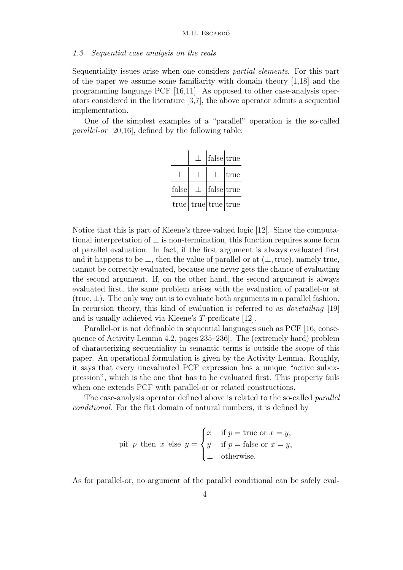#### 1.3 Sequential case analysis on the reals

Sequentiality issues arise when one considers partial elements. For this part of the paper we assume some familiarity with domain theory [1,18] and the programming language PCF [16,11]. As opposed to other case-analysis operators considered in the literature [3,7], the above operator admits a sequential implementation.

One of the simplest examples of a "parallel" operation is the so-called parallel-or [20,16], defined by the following table:

|       |         | false true                  |      |
|-------|---------|-----------------------------|------|
|       |         |                             | true |
| false | $\perp$ | false true                  |      |
|       |         | $true$   true   true   true |      |

Notice that this is part of Kleene's three-valued logic [12]. Since the computational interpretation of  $\perp$  is non-termination, this function requires some form of parallel evaluation. In fact, if the first argument is always evaluated first and it happens to be  $\perp$ , then the value of parallel-or at  $(\perp, \text{true})$ , namely true, cannot be correctly evaluated, because one never gets the chance of evaluating the second argument. If, on the other hand, the second argument is always evaluated first, the same problem arises with the evaluation of parallel-or at (true,  $\perp$ ). The only way out is to evaluate both arguments in a parallel fashion. In recursion theory, this kind of evaluation is referred to as dovetailing [19] and is usually achieved via Kleene's T-predicate [12].

Parallel-or is not definable in sequential languages such as PCF [16, consequence of Activity Lemma 4.2, pages 235–236]. The (extremely hard) problem of characterizing sequentiality in semantic terms is outside the scope of this paper. An operational formulation is given by the Activity Lemma. Roughly, it says that every unevaluated PCF expression has a unique "active subexpression", which is the one that has to be evaluated first. This property fails when one extends PCF with parallel-or or related constructions.

The case-analysis operator defined above is related to the so-called *parallel* conditional. For the flat domain of natural numbers, it is defined by

pif *p* then *x* else 
$$
y = \begin{cases} x & \text{if } p = \text{true or } x = y, \\ y & \text{if } p = \text{false or } x = y, \\ \bot & \text{otherwise.} \end{cases}
$$

As for parallel-or, no argument of the parallel conditional can be safely eval-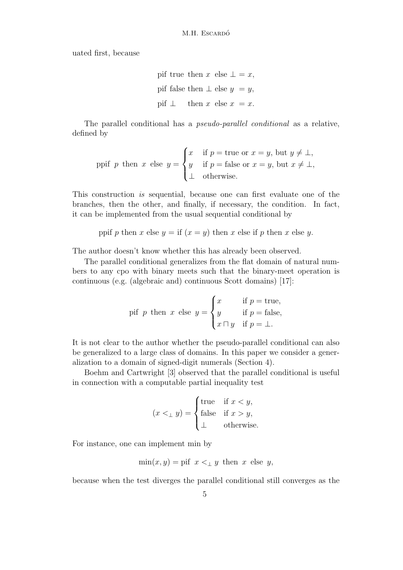uated first, because

\n
$$
\text{pif true then } x \text{ else } \bot = x,
$$
\n

\n\n $\text{pif false then } \bot \text{ else } y = y,$ \n

\n\n $\text{pif } \bot \quad \text{then } x \text{ else } x = x.$ \n

The parallel conditional has a pseudo-parallel conditional as a relative, defined by

$$
\text{ppi } p \text{ then } x \text{ else } y = \begin{cases} x & \text{if } p = \text{true or } x = y \text{, but } y \neq \bot, \\ y & \text{if } p = \text{false or } x = y \text{, but } x \neq \bot, \\ \bot & \text{otherwise.} \end{cases}
$$

This construction is sequential, because one can first evaluate one of the branches, then the other, and finally, if necessary, the condition. In fact, it can be implemented from the usual sequential conditional by

ppif p then x else  $y =$  if  $(x = y)$  then x else if p then x else y.

The author doesn't know whether this has already been observed.

The parallel conditional generalizes from the flat domain of natural numbers to any cpo with binary meets such that the binary-meet operation is continuous (e.g. (algebraic and) continuous Scott domains) [17]:

pif *p* then *x* else 
$$
y = \begin{cases} x & \text{if } p = \text{true}, \\ y & \text{if } p = \text{false}, \\ x \sqcap y & \text{if } p = \bot. \end{cases}
$$

It is not clear to the author whether the pseudo-parallel conditional can also be generalized to a large class of domains. In this paper we consider a generalization to a domain of signed-digit numerals (Section 4).

Boehm and Cartwright [3] observed that the parallel conditional is useful in connection with a computable partial inequality test

$$
(x <_{\perp} y) = \begin{cases} \text{true} & \text{if } x < y, \\ \text{false} & \text{if } x > y, \\ \perp & \text{otherwise.} \end{cases}
$$

For instance, one can implement min by

$$
\min(x, y) = \text{pif } x <_{\perp} y \text{ then } x \text{ else } y,
$$

because when the test diverges the parallel conditional still converges as the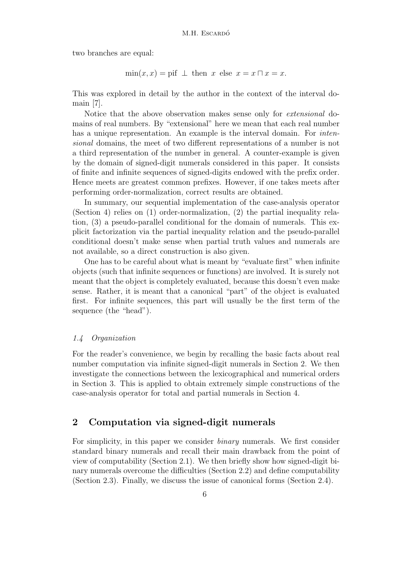two branches are equal:

$$
min(x, x) = \text{pif } \perp \text{ then } x \text{ else } x = x \sqcap x = x.
$$

This was explored in detail by the author in the context of the interval domain [7].

Notice that the above observation makes sense only for extensional domains of real numbers. By "extensional" here we mean that each real number has a unique representation. An example is the interval domain. For *inten*sional domains, the meet of two different representations of a number is not a third representation of the number in general. A counter-example is given by the domain of signed-digit numerals considered in this paper. It consists of finite and infinite sequences of signed-digits endowed with the prefix order. Hence meets are greatest common prefixes. However, if one takes meets after performing order-normalization, correct results are obtained.

In summary, our sequential implementation of the case-analysis operator (Section 4) relies on (1) order-normalization, (2) the partial inequality relation, (3) a pseudo-parallel conditional for the domain of numerals. This explicit factorization via the partial inequality relation and the pseudo-parallel conditional doesn't make sense when partial truth values and numerals are not available, so a direct construction is also given.

One has to be careful about what is meant by "evaluate first" when infinite objects (such that infinite sequences or functions) are involved. It is surely not meant that the object is completely evaluated, because this doesn't even make sense. Rather, it is meant that a canonical "part" of the object is evaluated first. For infinite sequences, this part will usually be the first term of the sequence (the "head").

## 1.4 Organization

For the reader's convenience, we begin by recalling the basic facts about real number computation via infinite signed-digit numerals in Section 2. We then investigate the connections between the lexicographical and numerical orders in Section 3. This is applied to obtain extremely simple constructions of the case-analysis operator for total and partial numerals in Section 4.

# 2 Computation via signed-digit numerals

For simplicity, in this paper we consider binary numerals. We first consider standard binary numerals and recall their main drawback from the point of view of computability (Section 2.1). We then briefly show how signed-digit binary numerals overcome the difficulties (Section 2.2) and define computability (Section 2.3). Finally, we discuss the issue of canonical forms (Section 2.4).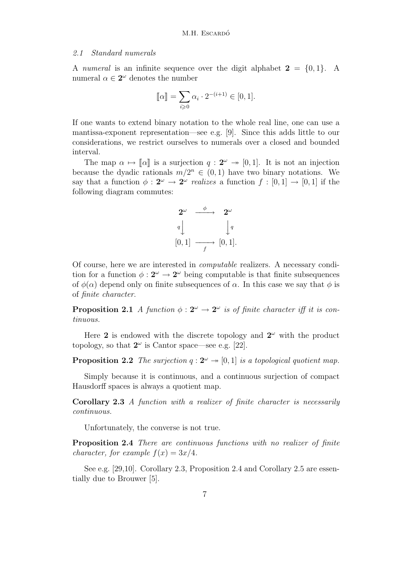#### 2.1 Standard numerals

A numeral is an infinite sequence over the digit alphabet  $2 = \{0, 1\}$ . A numeral  $\alpha \in 2^{\omega}$  denotes the number

$$
[\![\alpha]\!] = \sum_{i \geq 0} \alpha_i \cdot 2^{-(i+1)} \in [0,1].
$$

If one wants to extend binary notation to the whole real line, one can use a mantissa-exponent representation—see e.g. [9]. Since this adds little to our considerations, we restrict ourselves to numerals over a closed and bounded interval.

The map  $\alpha \mapsto \llbracket \alpha \rrbracket$  is a surjection  $q : 2^{\omega} \rightarrow [0, 1]$ . It is not an injection because the dyadic rationals  $m/2^n \in (0,1)$  have two binary notations. We say that a function  $\phi: 2^{\omega} \to 2^{\omega}$  realizes a function  $f: [0,1] \to [0,1]$  if the following diagram commutes:



Of course, here we are interested in computable realizers. A necessary condition for a function  $\phi : 2^{\omega} \to 2^{\omega}$  being computable is that finite subsequences of  $\phi(\alpha)$  depend only on finite subsequences of  $\alpha$ . In this case we say that  $\phi$  is of finite character.

**Proposition 2.1** A function  $\phi: 2^{\omega} \to 2^{\omega}$  is of finite character iff it is continuous.

Here 2 is endowed with the discrete topology and  $2^{\omega}$  with the product topology, so that  $2^{\omega}$  is Cantor space—see e.g. [22].

**Proposition 2.2** The surjection  $q: 2^{\omega} \rightarrow [0, 1]$  is a topological quotient map.

Simply because it is continuous, and a continuous surjection of compact Hausdorff spaces is always a quotient map.

Corollary 2.3 A function with a realizer of finite character is necessarily continuous.

Unfortunately, the converse is not true.

Proposition 2.4 There are continuous functions with no realizer of finite character, for example  $f(x) = 3x/4$ .

See e.g. [29,10]. Corollary 2.3, Proposition 2.4 and Corollary 2.5 are essentially due to Brouwer [5].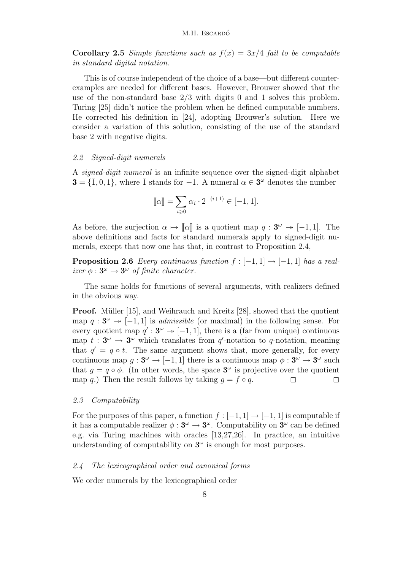**Corollary 2.5** Simple functions such as  $f(x) = 3x/4$  fail to be computable in standard digital notation.

This is of course independent of the choice of a base—but different counterexamples are needed for different bases. However, Brouwer showed that the use of the non-standard base  $2/3$  with digits 0 and 1 solves this problem. Turing [25] didn't notice the problem when he defined computable numbers. He corrected his definition in [24], adopting Brouwer's solution. Here we consider a variation of this solution, consisting of the use of the standard base 2 with negative digits.

#### 2.2 Signed-digit numerals

A signed-digit numeral is an infinite sequence over the signed-digit alphabet  $\mathbf{3} = \{1, 0, 1\}$ , where  $\bar{1}$  stands for  $-1$ . A numeral  $\alpha \in \mathbf{3}^{\omega}$  denotes the number

$$
[\![\alpha]\!] = \sum_{i \geq 0} \alpha_i \cdot 2^{-(i+1)} \in [-1, 1].
$$

As before, the surjection  $\alpha \mapsto \llbracket \alpha \rrbracket$  is a quotient map  $q : 3^{\omega} \to [-1, 1]$ . The above definitions and facts for standard numerals apply to signed-digit numerals, except that now one has that, in contrast to Proposition 2.4,

**Proposition 2.6** Every continuous function  $f : [-1,1] \rightarrow [-1,1]$  has a realizer  $\phi: 3^{\omega} \to 3^{\omega}$  of finite character.

The same holds for functions of several arguments, with realizers defined in the obvious way.

**Proof.** Müller [15], and Weihrauch and Kreitz [28], showed that the quotient map  $q: 3^{\omega} \rightarrow [-1, 1]$  is *admissible* (or maximal) in the following sense. For every quotient map  $q': 3^{\omega} \rightarrow [-1, 1]$ , there is a (far from unique) continuous map  $t: 3^{\omega} \rightarrow 3^{\omega}$  which translates from q'-notation to q-notation, meaning that  $q' = q \circ t$ . The same argument shows that, more generally, for every continuous map  $g: 3^{\omega} \to [-1, 1]$  there is a continuous map  $\phi: 3^{\omega} \to 3^{\omega}$  such that  $g = q \circ \phi$ . (In other words, the space  $3^{\omega}$  is projective over the quotient map q.) Then the result follows by taking  $q = f \circ q$ .

#### 2.3 Computability

For the purposes of this paper, a function  $f : [-1,1] \rightarrow [-1,1]$  is computable if it has a computable realizer  $\phi: 3^{\omega} \to 3^{\omega}$ . Computability on  $3^{\omega}$  can be defined e.g. via Turing machines with oracles [13,27,26]. In practice, an intuitive understanding of computability on  $3^\omega$  is enough for most purposes.

#### 2.4 The lexicographical order and canonical forms

We order numerals by the lexicographical order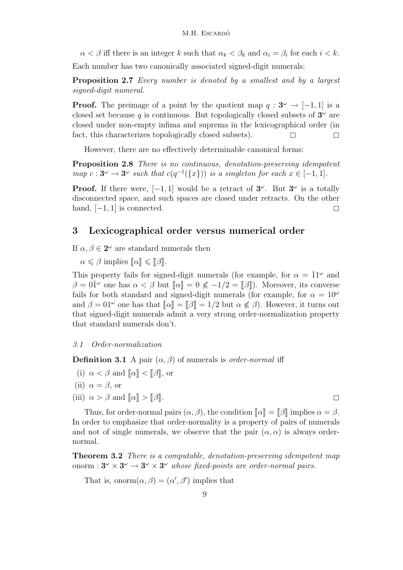$\alpha < \beta$  iff there is an integer k such that  $\alpha_k < \beta_k$  and  $\alpha_i = \beta_i$  for each  $i < k$ .

Each number has two canonically associated signed-digit numerals:

Proposition 2.7 Every number is denoted by a smallest and by a largest signed-digit numeral.

**Proof.** The preimage of a point by the quotient map  $q: 3^{\omega} \to [-1, 1]$  is a closed set because q is continuous. But topologically closed subsets of  $3^{\omega}$  are closed under non-empty infima and suprema in the lexicographical order (in fact, this characterizes topologically closed subsets).  $\Box$ 

However, there are no effectively determinable canonical forms:

Proposition 2.8 There is no continuous, denotation-preserving idempotent map  $c: 3^{\omega} \to 3^{\omega}$  such that  $c(q^{-1}(\lbrace x \rbrace))$  is a singleton for each  $x \in [-1,1]$ .

**Proof.** If there were,  $[-1, 1]$  would be a retract of  $3^\omega$ . But  $3^\omega$  is a totally disconnected space, and such spaces are closed under retracts. On the other hand,  $[-1, 1]$  is connected.

# 3 Lexicographical order versus numerical order

If  $\alpha, \beta \in 2^{\omega}$  are standard numerals then

 $\alpha \leq \beta$  implies  $\llbracket \alpha \rrbracket \leq \llbracket \beta \rrbracket$ .

This property fails for signed-digit numerals (for example, for  $\alpha = \overline{1}1^{\omega}$  and  $\beta = 0\overline{1}^{\omega}$  one has  $\alpha < \beta$  but  $\alpha = \alpha \leq -1/2 = \beta$ . Moreover, its converse fails for both standard and signed-digit numerals (for example, for  $\alpha = 10^{\omega}$ ) and  $\beta = 01^{\omega}$  one has that  $\llbracket \alpha \rrbracket = \llbracket \beta \rrbracket = 1/2$  but  $\alpha \nleq \beta$ ). However, it turns out that signed-digit numerals admit a very strong order-normalization property that standard numerals don't.

## 3.1 Order-normalization

**Definition 3.1** A pair  $(\alpha, \beta)$  of numerals is *order-normal* iff

- (i)  $\alpha < \beta$  and  $\llbracket \alpha \rrbracket < \llbracket \beta \rrbracket$ , or
- (ii)  $\alpha = \beta$ , or
- (iii)  $\alpha > \beta$  and  $\llbracket \alpha \rrbracket > \llbracket \beta \rrbracket$ .

Thus, for order-normal pairs  $(\alpha, \beta)$ , the condition  $\|\alpha\| = \|\beta\|$  implies  $\alpha = \beta$ . In order to emphasize that order-normality is a property of pairs of numerals and not of single numerals, we observe that the pair  $(\alpha, \alpha)$  is always ordernormal.

**Theorem 3.2** There is a computable, denotation-preserving idempotent map onorm :  $3^{\omega} \times 3^{\omega} \rightarrow 3^{\omega} \times 3^{\omega}$  whose fixed-points are order-normal pairs.

That is, onorm $(\alpha, \beta) = (\alpha', \beta')$  implies that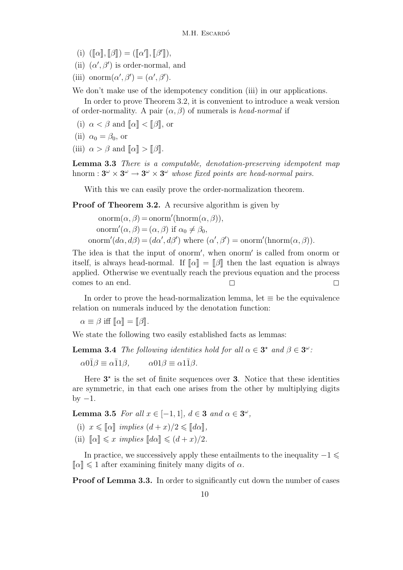- (i)  $(\llbracket \alpha \rrbracket, \llbracket \beta \rrbracket) = (\llbracket \alpha' \rrbracket, \llbracket \beta' \rrbracket),$
- (ii)  $(\alpha', \beta')$  is order-normal, and
- (iii) onorm $(\alpha', \beta') = (\alpha', \beta')$ .

We don't make use of the idempotency condition (iii) in our applications.

In order to prove Theorem 3.2, it is convenient to introduce a weak version of order-normality. A pair  $(\alpha, \beta)$  of numerals is head-normal if

- (i)  $\alpha < \beta$  and  $\|\alpha\| < \|\beta\|$ , or
- (ii)  $\alpha_0 = \beta_0$ , or
- (iii)  $\alpha > \beta$  and  $\llbracket \alpha \rrbracket > \llbracket \beta \rrbracket$ .

Lemma 3.3 There is a computable, denotation-preserving idempotent map hnorm :  $3^{\omega} \times 3^{\omega} \rightarrow 3^{\omega} \times 3^{\omega}$  whose fixed points are head-normal pairs.

With this we can easily prove the order-normalization theorem.

Proof of Theorem 3.2. A recursive algorithm is given by

onorm $(\alpha, \beta) = \text{onorm}'(\text{hnorm}(\alpha, \beta)),$ onorm' $(\alpha, \beta) = (\alpha, \beta)$  if  $\alpha_0 \neq \beta_0$ , onorm' $(d\alpha, d\beta) = (d\alpha', d\beta')$  where  $(\alpha', \beta') = \text{onorm}'(\text{hnorm}(\alpha, \beta)).$ 

The idea is that the input of onorm', when onorm' is called from onorm or itself, is always head-normal. If  $\llbracket \alpha \rrbracket = \llbracket \beta \rrbracket$  then the last equation is always applied. Otherwise we eventually reach the previous equation and the process comes to an end.

In order to prove the head-normalization lemma, let  $\equiv$  be the equivalence relation on numerals induced by the denotation function:

 $\alpha \equiv \beta$  iff  $\llbracket \alpha \rrbracket = \llbracket \beta \rrbracket$ .

We state the following two easily established facts as lemmas:

**Lemma 3.4** The following identities hold for all  $\alpha \in \mathbf{3}^{\star}$  and  $\beta \in \mathbf{3}^{\omega}$ :  $\alpha 0\overline{1}\beta \equiv \alpha \overline{1}1\beta$ ,  $\alpha 01\beta \equiv \alpha 1\overline{1}\beta$ .

Here  $3^*$  is the set of finite sequences over 3. Notice that these identities are symmetric, in that each one arises from the other by multiplying digits by  $-1$ .

**Lemma 3.5** For all  $x \in [-1,1], d \in \mathbf{3}$  and  $\alpha \in \mathbf{3}^{\omega}$ ,

- (i)  $x \leq \lceil \alpha \rceil$  implies  $(d+x)/2 \leq \lceil d\alpha \rceil$ .
- (ii)  $\llbracket \alpha \rrbracket \leq x \implies \llbracket d\alpha \rrbracket \leq (d+x)/2.$

In practice, we successively apply these entailments to the inequality  $-1 \le$  $\llbracket \alpha \rrbracket \leq 1$  after examining finitely many digits of  $\alpha$ .

Proof of Lemma 3.3. In order to significantly cut down the number of cases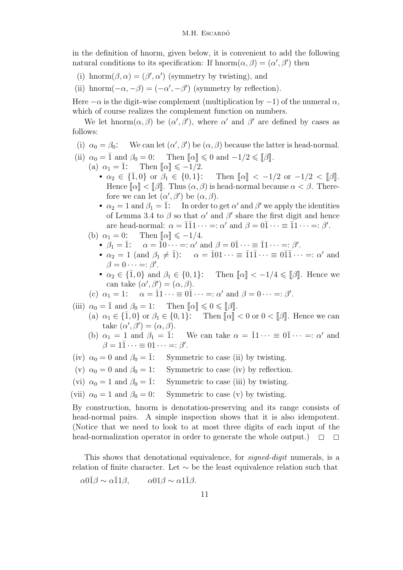in the definition of hnorm, given below, it is convenient to add the following natural conditions to its specification: If  $\text{hnorm}(\alpha, \beta) = (\alpha', \beta')$  then

- (i) hnorm $(\beta, \alpha) = (\beta', \alpha')$  (symmetry by twisting), and
- (ii) hnorm $(-\alpha, -\beta) = (-\alpha', -\beta')$  (symmetry by reflection).

Here  $-\alpha$  is the digit-wise complement (multiplication by  $-1$ ) of the numeral  $\alpha$ , which of course realizes the complement function on numbers.

We let hnorm $(\alpha, \beta)$  be  $(\alpha', \beta')$ , where  $\alpha'$  and  $\beta'$  are defined by cases as follows:

- (i)  $\alpha_0 = \beta_0$ : We can let  $(\alpha', \beta')$  be  $(\alpha, \beta)$  because the latter is head-normal.
- (ii)  $\alpha_0 = \overline{1}$  and  $\beta_0 = 0$ : Then  $\llbracket \alpha \rrbracket \leq 0$  and  $-1/2 \leq \llbracket \beta \rrbracket$ .
	- (a)  $\alpha_1 = \overline{1}$ : Then  $\|\alpha\| \leq -1/2$ .
		- $\alpha_2 \in {\overline{1}, 0}$  or  $\beta_1 \in \{0, 1\}$ : Then  $\lbrack \lbrack \alpha \rbrack \rbrack < -1/2$  or  $-1/2 < \lbrack \lbrack \beta \rbrack \rbrack$ . Hence  $\llbracket \alpha \rrbracket < \llbracket \beta \rrbracket$ . Thus  $(\alpha, \beta)$  is head-normal because  $\alpha < \beta$ . Therefore we can let  $(\alpha', \beta')$  be  $(\alpha, \beta)$ .
		- $\alpha_2 = 1$  and  $\beta_1 = \overline{1}$ : In order to get  $\alpha'$  and  $\beta'$  we apply the identities of Lemma 3.4 to  $\beta$  so that  $\alpha'$  and  $\beta'$  share the first digit and hence are head-normal:  $\alpha = \overline{1}\overline{1}1 \cdots =: \alpha'$  and  $\beta = 0\overline{1} \cdots \equiv \overline{1}1 \cdots =: \beta'.$
	- (b)  $\alpha_1 = 0$ : Then  $\llbracket \alpha \rrbracket \leq -1/4$ .
		- $\beta_1 = \overline{1}$ :  $\alpha = \overline{1}0 \cdots =: \alpha'$  and  $\beta = 0\overline{1} \cdots \equiv \overline{1}1 \cdots =: \beta'$ .
		- $\alpha_2 = 1$  (and  $\beta_1 \neq \overline{1}$ ):  $\alpha = \overline{1}01 \cdots \equiv \overline{1}1\overline{1} \cdots \equiv 0\overline{1}\overline{1} \cdots =: \alpha'$  and  $\beta = 0 \cdots =: \beta'.$
		- $\alpha_2 \in \{\overline{1},0\}$  and  $\beta_1 \in \{0,1\}$ : Then  $\llbracket \alpha \rrbracket < -1/4 \leq \llbracket \beta \rrbracket$ . Hence we can take  $(\alpha', \beta') = (\alpha, \beta)$ .
	- (c)  $\alpha_1 = 1$ :  $\alpha = \overline{1} \cdot \cdot \cdot = 0 \overline{1} \cdot \cdot \cdot =: \alpha'$  and  $\beta = 0 \cdot \cdot \cdot =: \beta'$ .
- (iii)  $\alpha_0 = \overline{1}$  and  $\beta_0 = 1$ : Then  $\llbracket \alpha \rrbracket \leq 0 \leq \llbracket \beta \rrbracket$ .
	- (a)  $\alpha_1 \in \{\overline{1}, 0\}$  or  $\beta_1 \in \{0, 1\}$ : Then  $\|\alpha\| < 0$  or  $0 < \|\beta\|$ . Hence we can take  $(\alpha', \beta') = (\alpha, \beta)$ .
	- (b)  $\alpha_1 = 1$  and  $\beta_1 = \overline{1}$ : We can take  $\alpha = \overline{1} \cdots \equiv 0 \overline{1} \cdots =: \alpha'$  and  $\beta = 1\overline{1} \cdots \equiv 01 \cdots =: \beta'.$
- (iv)  $\alpha_0 = 0$  and  $\beta_0 = \overline{1}$ : Symmetric to case (ii) by twisting.
- (v)  $\alpha_0 = 0$  and  $\beta_0 = 1$ : Symmetric to case (iv) by reflection.
- (vi)  $\alpha_0 = 1$  and  $\beta_0 = \overline{1}$ : Symmetric to case (iii) by twisting.
- (vii)  $\alpha_0 = 1$  and  $\beta_0 = 0$ : Symmetric to case (v) by twisting.

By construction, hnorm is denotation-preserving and its range consists of head-normal pairs. A simple inspection shows that it is also idempotent. (Notice that we need to look to at most three digits of each input of the head-normalization operator in order to generate the whole output.)  $\Box$ 

This shows that denotational equivalence, for *signed-digit* numerals, is a relation of finite character. Let ∼ be the least equivalence relation such that  $\alpha 0\overline{1}\beta \sim \alpha\overline{1}1\beta$ ,  $\alpha 01\beta \sim \alpha 1\overline{1}\beta$ .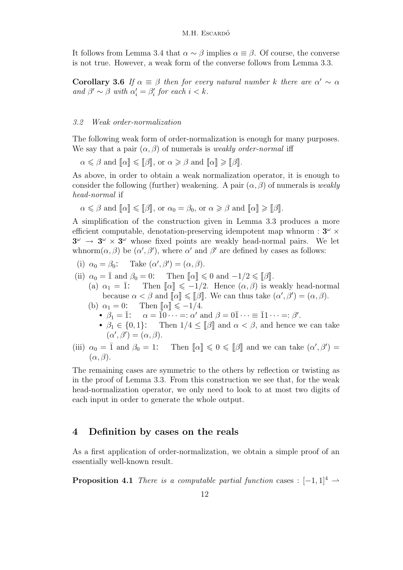It follows from Lemma 3.4 that  $\alpha \sim \beta$  implies  $\alpha \equiv \beta$ . Of course, the converse is not true. However, a weak form of the converse follows from Lemma 3.3.

**Corollary 3.6** If  $\alpha \equiv \beta$  then for every natural number k there are  $\alpha' \sim \alpha$ and  $\beta' \sim \beta$  with  $\alpha'_i = \beta'_i$  for each  $i < k$ .

## 3.2 Weak order-normalization

The following weak form of order-normalization is enough for many purposes. We say that a pair  $(\alpha, \beta)$  of numerals is *weakly order-normal* iff

 $\alpha \leq \beta$  and  $\llbracket \alpha \rrbracket \leq \llbracket \beta \rrbracket$ , or  $\alpha \geq \beta$  and  $\llbracket \alpha \rrbracket \geq \llbracket \beta \rrbracket$ .

As above, in order to obtain a weak normalization operator, it is enough to consider the following (further) weakening. A pair  $(\alpha, \beta)$  of numerals is *weakly* head-normal if

$$
\alpha \leq \beta
$$
 and  $[\![\alpha]\!] \leq [\![\beta]\!],$  or  $\alpha_0 = \beta_0$ , or  $\alpha \geq \beta$  and  $[\![\alpha]\!] \geq [\![\beta]\!].$ 

A simplification of the construction given in Lemma 3.3 produces a more efficient computable, denotation-preserving idempotent map whnorm :  $3^{\omega} \times$  $3^{\omega} \rightarrow 3^{\omega} \times 3^{\omega}$  whose fixed points are weakly head-normal pairs. We let whnorm $(\alpha, \beta)$  be  $(\alpha', \beta')$ , where  $\alpha'$  and  $\beta'$  are defined by cases as follows:

(i)  $\alpha_0 = \beta_0$ : Take  $(\alpha', \beta') = (\alpha, \beta)$ .

- (ii)  $\alpha_0 = \overline{1}$  and  $\beta_0 = 0$ : Then  $\llbracket \alpha \rrbracket \leq 0$  and  $-1/2 \leq \llbracket \beta \rrbracket$ .
	- (a)  $\alpha_1 = \overline{1}$ : Then  $\lbrack \lbrack \alpha \rbrack \rbrack \leq -1/2$ . Hence  $(\alpha, \beta)$  is weakly head-normal because  $\alpha < \beta$  and  $\llbracket \alpha \rrbracket \leq \llbracket \beta \rrbracket$ . We can thus take  $(\alpha', \beta') = (\alpha, \beta)$ .
	- (b)  $\alpha_1 = 0$ : Then  $\lbrack \lbrack \alpha \rbrack \rbrack \leq -1/4$ .
		- $\beta_1 = \overline{1}$ :  $\alpha = \overline{1} \overline{0} \cdots =: \alpha'$  and  $\beta = 0 \overline{1} \cdots \equiv \overline{1} \overline{1} \cdots =: \beta'.$
		- $\beta_1 \in \{0, 1\}$ : Then  $1/4 \leq \lbrack \lbrack \beta \rbrack \rbrack$  and  $\alpha < \beta$ , and hence we can take  $(\alpha', \beta') = (\alpha, \beta).$
- (iii)  $\alpha_0 = \overline{1}$  and  $\beta_0 = 1$ : Then  $\llbracket \alpha \rrbracket \leq 0 \leq \llbracket \beta \rrbracket$  and we can take  $(\alpha', \beta') =$  $(\alpha, \beta).$

The remaining cases are symmetric to the others by reflection or twisting as in the proof of Lemma 3.3. From this construction we see that, for the weak head-normalization operator, we only need to look to at most two digits of each input in order to generate the whole output.

# 4 Definition by cases on the reals

As a first application of order-normalization, we obtain a simple proof of an essentially well-known result.

**Proposition 4.1** There is a computable partial function cases :  $[-1, 1]^4 \rightarrow$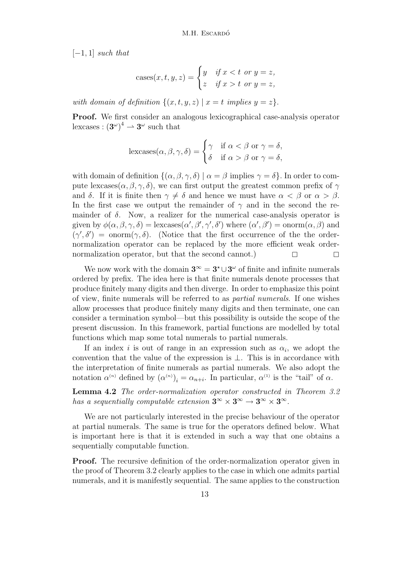$[-1, 1]$  such that

cases
$$
cases(x, t, y, z) = \begin{cases} y & \text{if } x < t \text{ or } y = z, \\ z & \text{if } x > t \text{ or } y = z, \end{cases}
$$

with domain of definition  $\{(x, t, y, z) | x = t \text{ implies } y = z\}.$ 

Proof. We first consider an analogous lexicographical case-analysis operator lexcases :  $(3^{\omega})^4 \rightarrow 3^{\omega}$  such that

$$
\operatorname{lexcases}(\alpha, \beta, \gamma, \delta) = \begin{cases} \gamma & \text{if } \alpha < \beta \text{ or } \gamma = \delta, \\ \delta & \text{if } \alpha > \beta \text{ or } \gamma = \delta, \end{cases}
$$

with domain of definition  $\{(\alpha, \beta, \gamma, \delta) | \alpha = \beta \text{ implies } \gamma = \delta \}.$  In order to compute lexcases( $\alpha, \beta, \gamma, \delta$ ), we can first output the greatest common prefix of  $\gamma$ and  $\delta$ . If it is finite then  $\gamma \neq \delta$  and hence we must have  $\alpha < \beta$  or  $\alpha > \beta$ . In the first case we output the remainder of  $\gamma$  and in the second the remainder of  $\delta$ . Now, a realizer for the numerical case-analysis operator is given by  $\phi(\alpha, \beta, \gamma, \delta) = \text{lexcases}(\alpha', \beta', \gamma', \delta')$  where  $(\alpha', \beta') = \text{onorm}(\alpha, \beta)$  and  $(\gamma', \delta') = \text{norm}(\gamma, \delta)$ . (Notice that the first occurrence of the the ordernormalization operator can be replaced by the more efficient weak ordernormalization operator, but that the second cannot.)  $\Box$ 

We now work with the domain  $3^{\infty} = 3^{\star} \cup 3^{\omega}$  of finite and infinite numerals ordered by prefix. The idea here is that finite numerals denote processes that produce finitely many digits and then diverge. In order to emphasize this point of view, finite numerals will be referred to as partial numerals. If one wishes allow processes that produce finitely many digits and then terminate, one can consider a termination symbol—but this possibility is outside the scope of the present discussion. In this framework, partial functions are modelled by total functions which map some total numerals to partial numerals.

If an index i is out of range in an expression such as  $\alpha_i$ , we adopt the convention that the value of the expression is ⊥. This is in accordance with the interpretation of finite numerals as partial numerals. We also adopt the notation  $\alpha^{(n)}$  defined by  $(\alpha^{(n)})_i = \alpha_{n+i}$ . In particular,  $\alpha^{(1)}$  is the "tail" of  $\alpha$ .

Lemma 4.2 The order-normalization operator constructed in Theorem 3.2 has a sequentially computable extension  $3^{\infty} \times 3^{\infty} \rightarrow 3^{\infty} \times 3^{\infty}$ .

We are not particularly interested in the precise behaviour of the operator at partial numerals. The same is true for the operators defined below. What is important here is that it is extended in such a way that one obtains a sequentially computable function.

**Proof.** The recursive definition of the order-normalization operator given in the proof of Theorem 3.2 clearly applies to the case in which one admits partial numerals, and it is manifestly sequential. The same applies to the construction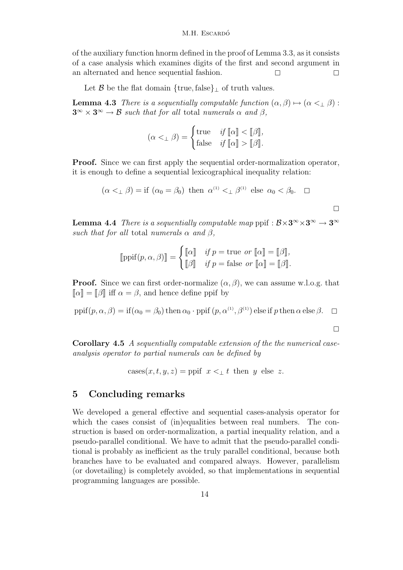of the auxiliary function hnorm defined in the proof of Lemma 3.3, as it consists of a case analysis which examines digits of the first and second argument in an alternated and hence sequential fashion.  $\square$ 

Let  $\mathcal B$  be the flat domain {true, false}<sub>⊥</sub> of truth values.

**Lemma 4.3** There is a sequentially computable function  $(\alpha, \beta) \mapsto (\alpha \leq \beta)$ :  $3^{\infty} \times 3^{\infty} \to \mathcal{B}$  such that for all total numerals  $\alpha$  and  $\beta$ ,

$$
(\alpha <_{\perp} \beta) = \begin{cases} \text{true} & \text{if } [\![\alpha]\!] < [\![\beta]\!], \\ \text{false} & \text{if } [\![\alpha]\!] > [\![\beta]\!]. \end{cases}
$$

Proof. Since we can first apply the sequential order-normalization operator, it is enough to define a sequential lexicographical inequality relation:

$$
(\alpha <_{\perp} \beta) = \text{if } (\alpha_0 = \beta_0) \text{ then } \alpha^{(1)} <_{\perp} \beta^{(1)} \text{ else } \alpha_0 < \beta_0. \square
$$

**Lemma 4.4** There is a sequentially computable map ppif :  $B \times 3^{\infty} \times 3^{\infty} \rightarrow 3^{\infty}$ such that for all total numerals  $\alpha$  and  $\beta$ ,

$$
[\![\operatorname{ppif}(p,\alpha,\beta)]\!] = \begin{cases} [\![\alpha]\!] & \text{if } p = \text{true} \text{ or } [\![\alpha]\!] = [\![\beta]\!], \\ [\![\beta]\!] & \text{if } p = \text{false} \text{ or } [\![\alpha]\!] = [\![\beta]\!]. \end{cases}
$$

**Proof.** Since we can first order-normalize  $(\alpha, \beta)$ , we can assume w.l.o.g. that  $\llbracket \alpha \rrbracket = \llbracket \beta \rrbracket$  iff  $\alpha = \beta$ , and hence define ppif by

ppif $(p, \alpha, \beta) =$ if $(\alpha_0 = \beta_0)$  then  $\alpha_0 \cdot$ ppif  $(p, \alpha^{(1)}, \beta^{(1)})$  else if p then  $\alpha$  else  $\beta$ .

 $\Box$ 

 $\Box$ 

Corollary 4.5 A sequentially computable extension of the the numerical caseanalysis operator to partial numerals can be defined by

cases
$$
(x,t,y,z) = \text{ppif } x <_{\perp} t \text{ then } y \text{ else } z.
$$

# 5 Concluding remarks

We developed a general effective and sequential cases-analysis operator for which the cases consist of (in)equalities between real numbers. The construction is based on order-normalization, a partial inequality relation, and a pseudo-parallel conditional. We have to admit that the pseudo-parallel conditional is probably as inefficient as the truly parallel conditional, because both branches have to be evaluated and compared always. However, parallelism (or dovetailing) is completely avoided, so that implementations in sequential programming languages are possible.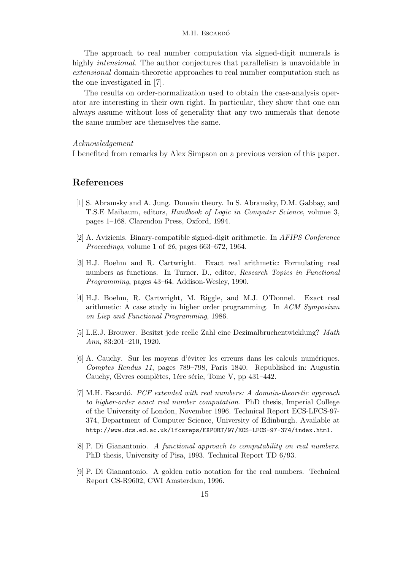#### M.H. Escardó

The approach to real number computation via signed-digit numerals is highly *intensional*. The author conjectures that parallelism is unavoidable in extensional domain-theoretic approaches to real number computation such as the one investigated in [7].

The results on order-normalization used to obtain the case-analysis operator are interesting in their own right. In particular, they show that one can always assume without loss of generality that any two numerals that denote the same number are themselves the same.

#### Acknowledgement

I benefited from remarks by Alex Simpson on a previous version of this paper.

# References

- [1] S. Abramsky and A. Jung. Domain theory. In S. Abramsky, D.M. Gabbay, and T.S.E Maibaum, editors, Handbook of Logic in Computer Science, volume 3, pages 1–168. Clarendon Press, Oxford, 1994.
- [2] A. Avizienis. Binary-compatible signed-digit arithmetic. In AFIPS Conference Proceedings, volume 1 of 26, pages 663–672, 1964.
- [3] H.J. Boehm and R. Cartwright. Exact real arithmetic: Formulating real numbers as functions. In Turner. D., editor, Research Topics in Functional Programming, pages 43–64. Addison-Wesley, 1990.
- [4] H.J. Boehm, R. Cartwright, M. Riggle, and M.J. O'Donnel. Exact real arithmetic: A case study in higher order programming. In ACM Symposium on Lisp and Functional Programming, 1986.
- [5] L.E.J. Brouwer. Besitzt jede reelle Zahl eine Dezimalbruchentwicklung? Math Ann, 83:201–210, 1920.
- [6] A. Cauchy. Sur les moyens d'éviter les erreurs dans les calculs numériques. Comptes Rendus 11, pages 789–798, Paris 1840. Republished in: Augustin Cauchy, Œvres complètes, 1ére série, Tome V, pp 431–442.
- [7] M.H. Escardó. *PCF extended with real numbers: A domain-theoretic approach* to higher-order exact real number computation. PhD thesis, Imperial College of the University of London, November 1996. Technical Report ECS-LFCS-97- 374, Department of Computer Science, University of Edinburgh. Available at http://www.dcs.ed.ac.uk/lfcsreps/EXPORT/97/ECS-LFCS-97-374/index.html.
- [8] P. Di Gianantonio. A functional approach to computability on real numbers. PhD thesis, University of Pisa, 1993. Technical Report TD 6/93.
- [9] P. Di Gianantonio. A golden ratio notation for the real numbers. Technical Report CS-R9602, CWI Amsterdam, 1996.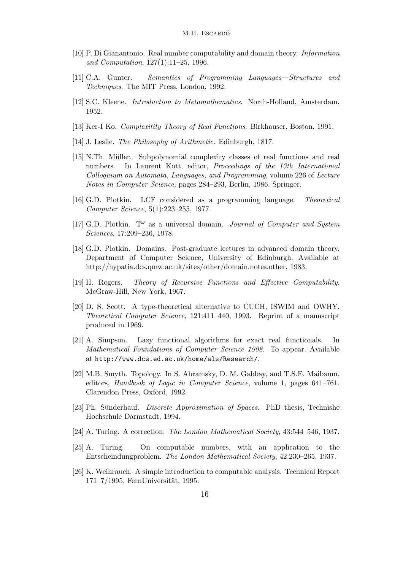- [10] P. Di Gianantonio. Real number computability and domain theory. Information and Computation, 127(1):11–25, 1996.
- [11] C.A. Gunter. Semantics of Programming Languages—Structures and Techniques. The MIT Press, London, 1992.
- [12] S.C. Kleene. Introduction to Metamathematics. North-Holland, Amsterdam, 1952.
- [13] Ker-I Ko. Complexitity Theory of Real Functions. Birkhauser, Boston, 1991.
- [14] J. Leslie. The Philosophy of Arithmetic. Edinburgh, 1817.
- [15] N.Th. M¨uller. Subpolynomial complexity classes of real functions and real numbers. In Laurent Kott, editor, Proceedings of the 13th International Colloquium on Automata, Languages, and Programming, volume 226 of Lecture Notes in Computer Science, pages 284–293, Berlin, 1986. Springer.
- [16] G.D. Plotkin. LCF considered as a programming language. Theoretical Computer Science, 5(1):223–255, 1977.
- [17] G.D. Plotkin.  $\mathbb{T}^{\omega}$  as a universal domain. *Journal of Computer and System* Sciences, 17:209–236, 1978.
- [18] G.D. Plotkin. Domains. Post-graduate lectures in advanced domain theory, Department of Computer Science, University of Edinburgh. Available at http://hypatia.dcs.qmw.ac.uk/sites/other/domain.notes.other, 1983.
- [19] H. Rogers. Theory of Recursive Functions and Effective Computability. McGraw-Hill, New York, 1967.
- [20] D. S. Scott. A type-theoretical alternative to CUCH, ISWIM and OWHY. Theoretical Computer Science, 121:411–440, 1993. Reprint of a manuscript produced in 1969.
- [21] A. Simpson. Lazy functional algorithms for exact real functionals. In Mathematical Foundations of Computer Science 1998. To appear. Available at http://www.dcs.ed.ac.uk/home/als/Research/.
- [22] M.B. Smyth. Topology. In S. Abramsky, D. M. Gabbay, and T.S.E. Maibaum, editors, Handbook of Logic in Computer Science, volume 1, pages 641–761. Clarendon Press, Oxford, 1992.
- [23] Ph. Sünderhauf. *Discrete Approximation of Spaces*. PhD thesis, Technishe Hochschule Darmstadt, 1994.
- [24] A. Turing. A correction. The London Mathematical Society, 43:544–546, 1937.
- [25] A. Turing. On computable numbers, with an application to the Entscheindungproblem. The London Mathematical Society, 42:230–265, 1937.
- [26] K. Weihrauch. A simple introduction to computable analysis. Technical Report 171–7/1995, FernUniversität, 1995.